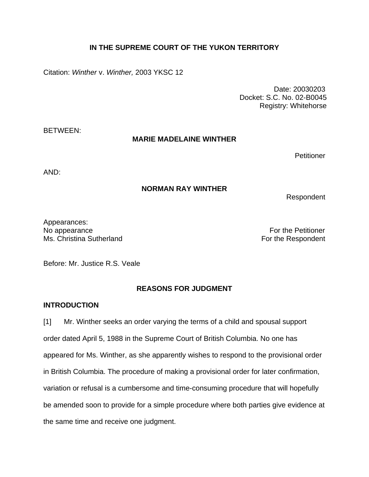# **IN THE SUPREME COURT OF THE YUKON TERRITORY**

Citation: *Winther* v. *Winther,* 2003 YKSC 12

Date: 20030203 Docket: S.C. No. 02-B0045 Registry: Whitehorse

BETWEEN:

### **MARIE MADELAINE WINTHER**

**Petitioner** 

AND:

## **NORMAN RAY WINTHER**

Respondent

Appearances: No appearance **For the Petitioner No** appearance Ms. Christina Sutherland **For the Respondent** 

Before: Mr. Justice R.S. Veale

# **REASONS FOR JUDGMENT**

### **INTRODUCTION**

[1] Mr. Winther seeks an order varying the terms of a child and spousal support order dated April 5, 1988 in the Supreme Court of British Columbia. No one has appeared for Ms. Winther, as she apparently wishes to respond to the provisional order in British Columbia. The procedure of making a provisional order for later confirmation, variation or refusal is a cumbersome and time-consuming procedure that will hopefully be amended soon to provide for a simple procedure where both parties give evidence at the same time and receive one judgment.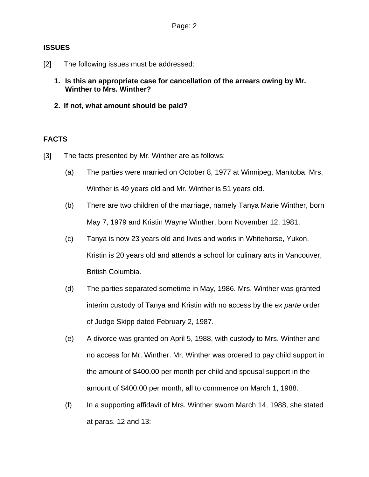## **ISSUES**

- [2] The following issues must be addressed:
	- **1. Is this an appropriate case for cancellation of the arrears owing by Mr. Winther to Mrs. Winther?**
	- **2. If not, what amount should be paid?**

# **FACTS**

- [3] The facts presented by Mr. Winther are as follows:
	- (a) The parties were married on October 8, 1977 at Winnipeg, Manitoba. Mrs. Winther is 49 years old and Mr. Winther is 51 years old.
	- (b) There are two children of the marriage, namely Tanya Marie Winther, born May 7, 1979 and Kristin Wayne Winther, born November 12, 1981.
	- (c) Tanya is now 23 years old and lives and works in Whitehorse, Yukon. Kristin is 20 years old and attends a school for culinary arts in Vancouver, British Columbia.
	- (d) The parties separated sometime in May, 1986. Mrs. Winther was granted interim custody of Tanya and Kristin with no access by the *ex parte* order of Judge Skipp dated February 2, 1987.
	- (e) A divorce was granted on April 5, 1988, with custody to Mrs. Winther and no access for Mr. Winther. Mr. Winther was ordered to pay child support in the amount of \$400.00 per month per child and spousal support in the amount of \$400.00 per month, all to commence on March 1, 1988.
	- (f) In a supporting affidavit of Mrs. Winther sworn March 14, 1988, she stated at paras. 12 and 13: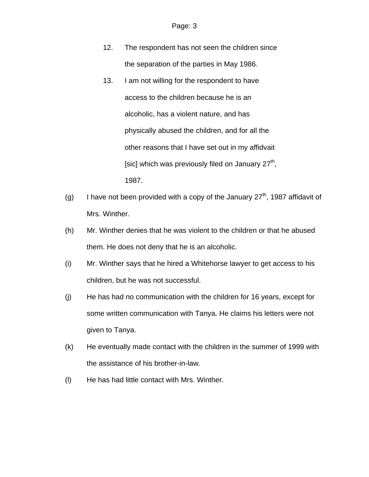- 12. The respondent has not seen the children since the separation of the parties in May 1986.
- 13. I am not willing for the respondent to have access to the children because he is an alcoholic, has a violent nature, and has physically abused the children, and for all the other reasons that I have set out in my affidvait [sic] which was previously filed on January  $27<sup>th</sup>$ , 1987.
- (g) I have not been provided with a copy of the January  $27<sup>th</sup>$ , 1987 affidavit of Mrs. Winther.
- (h) Mr. Winther denies that he was violent to the children or that he abused them. He does not deny that he is an alcoholic.
- (i) Mr. Winther says that he hired a Whitehorse lawyer to get access to his children, but he was not successful.
- (j) He has had no communication with the children for 16 years, except for some written communication with Tanya. He claims his letters were not given to Tanya.
- (k) He eventually made contact with the children in the summer of 1999 with the assistance of his brother-in-law.
- (l) He has had little contact with Mrs. Winther.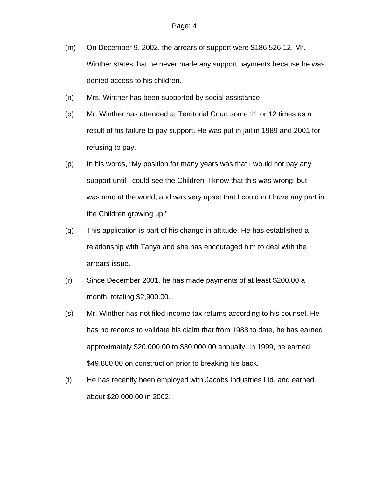- (m) On December 9, 2002, the arrears of support were \$186,526.12. Mr. Winther states that he never made any support payments because he was denied access to his children.
- (n) Mrs. Winther has been supported by social assistance.
- (o) Mr. Winther has attended at Territorial Court some 11 or 12 times as a result of his failure to pay support. He was put in jail in 1989 and 2001 for refusing to pay.
- (p) In his words, "My position for many years was that I would not pay any support until I could see the Children. I know that this was wrong, but I was mad at the world, and was very upset that I could not have any part in the Children growing up."
- (q) This application is part of his change in attitude. He has established a relationship with Tanya and she has encouraged him to deal with the arrears issue.
- (r) Since December 2001, he has made payments of at least \$200.00 a month, totaling \$2,900.00.
- (s) Mr. Winther has not filed income tax returns according to his counsel. He has no records to validate his claim that from 1988 to date, he has earned approximately \$20,000.00 to \$30,000.00 annually. In 1999, he earned \$49,880.00 on construction prior to breaking his back.
- (t) He has recently been employed with Jacobs Industries Ltd. and earned about \$20,000.00 in 2002.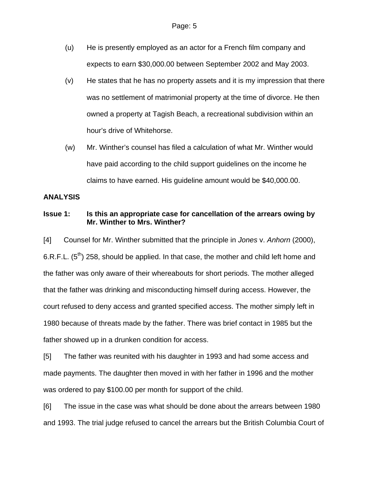- (u) He is presently employed as an actor for a French film company and expects to earn \$30,000.00 between September 2002 and May 2003.
- (v) He states that he has no property assets and it is my impression that there was no settlement of matrimonial property at the time of divorce. He then owned a property at Tagish Beach, a recreational subdivision within an hour's drive of Whitehorse.
- (w) Mr. Winther's counsel has filed a calculation of what Mr. Winther would have paid according to the child support guidelines on the income he claims to have earned. His guideline amount would be \$40,000.00.

### **ANALYSIS**

## **Issue 1: Is this an appropriate case for cancellation of the arrears owing by Mr. Winther to Mrs. Winther?**

[4] Counsel for Mr. Winther submitted that the principle in *Jones* v. *Anhorn* (2000), 6.R.F.L.  $(5^{th})$  258, should be applied. In that case, the mother and child left home and the father was only aware of their whereabouts for short periods. The mother alleged that the father was drinking and misconducting himself during access. However, the court refused to deny access and granted specified access. The mother simply left in 1980 because of threats made by the father. There was brief contact in 1985 but the father showed up in a drunken condition for access.

[5] The father was reunited with his daughter in 1993 and had some access and made payments. The daughter then moved in with her father in 1996 and the mother was ordered to pay \$100.00 per month for support of the child.

[6] The issue in the case was what should be done about the arrears between 1980 and 1993. The trial judge refused to cancel the arrears but the British Columbia Court of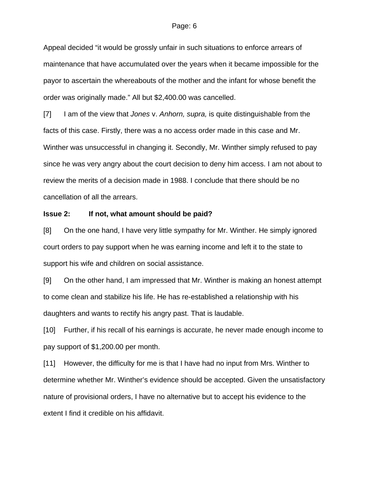#### Page: 6

Appeal decided "it would be grossly unfair in such situations to enforce arrears of maintenance that have accumulated over the years when it became impossible for the payor to ascertain the whereabouts of the mother and the infant for whose benefit the order was originally made." All but \$2,400.00 was cancelled.

[7] I am of the view that *Jones* v. *Anhorn, supra,* is quite distinguishable from the facts of this case. Firstly, there was a no access order made in this case and Mr. Winther was unsuccessful in changing it. Secondly, Mr. Winther simply refused to pay since he was very angry about the court decision to deny him access. I am not about to review the merits of a decision made in 1988. I conclude that there should be no cancellation of all the arrears.

#### **Issue 2: If not, what amount should be paid?**

[8] On the one hand, I have very little sympathy for Mr. Winther. He simply ignored court orders to pay support when he was earning income and left it to the state to support his wife and children on social assistance.

[9] On the other hand, I am impressed that Mr. Winther is making an honest attempt to come clean and stabilize his life. He has re-established a relationship with his daughters and wants to rectify his angry past. That is laudable.

[10] Further, if his recall of his earnings is accurate, he never made enough income to pay support of \$1,200.00 per month.

[11] However, the difficulty for me is that I have had no input from Mrs. Winther to determine whether Mr. Winther's evidence should be accepted. Given the unsatisfactory nature of provisional orders, I have no alternative but to accept his evidence to the extent I find it credible on his affidavit.